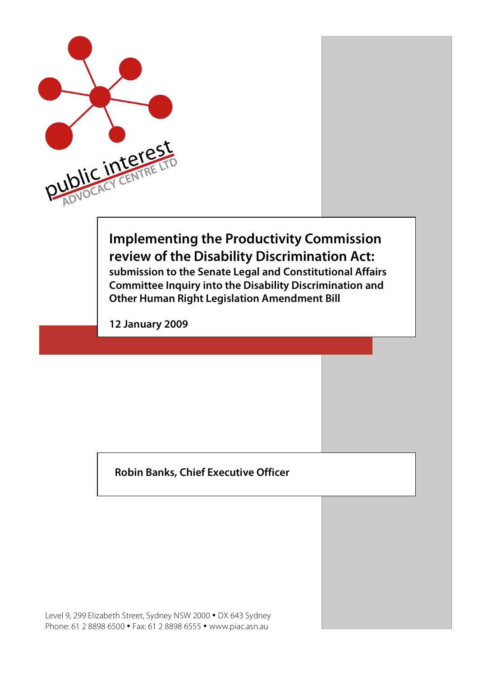

# **Implementing the Productivity Commission review of the Disability Discrimination Act:**

**submission to the Senate Legal and Constitutional Affairs Committee Inquiry into the Disability Discrimination and Other Human Right Legislation Amendment Bill**

**12 January 2009**

**Robin Banks, Chief Executive Officer**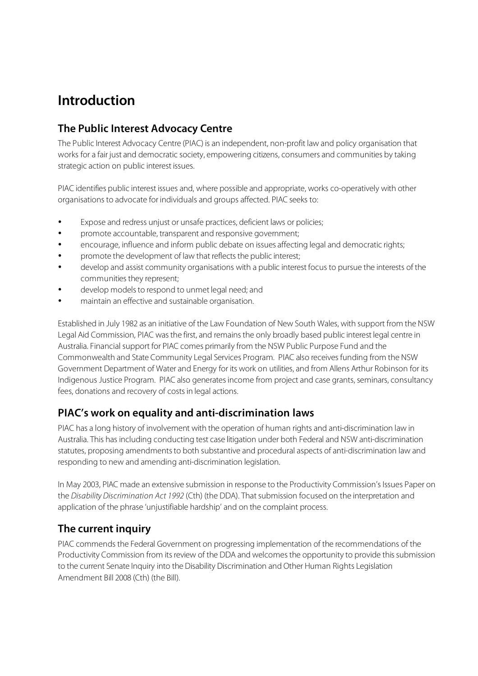## **Introduction**

## **The Public Interest Advocacy Centre**

The Public Interest Advocacy Centre (PIAC) is an independent, non-profit law and policy organisation that works for a fair just and democratic society, empowering citizens, consumers and communities by taking strategic action on public interest issues.

PIAC identifies public interest issues and, where possible and appropriate, works co-operatively with other organisations to advocate for individuals and groups affected. PIAC seeks to:

- Expose and redress unjust or unsafe practices, deficient laws or policies;
- promote accountable, transparent and responsive government;
- encourage, influence and inform public debate on issues affecting legal and democratic rights;
- promote the development of law that reflects the public interest;
- develop and assist community organisations with a public interest focus to pursue the interests of the communities they represent;
- develop models to respond to unmet legal need; and
- maintain an effective and sustainable organisation.

Established in July 1982 as an initiative of the Law Foundation of New South Wales, with support from the NSW Legal Aid Commission, PIAC was the first, and remains the only broadly based public interest legal centre in Australia. Financial support for PIAC comes primarily from the NSW Public Purpose Fund and the Commonwealth and State Community Legal Services Program. PIAC also receives funding from the NSW Government Department of Water and Energy for its work on utilities, and from Allens Arthur Robinson for its Indigenous Justice Program. PIAC also generatesincome from project and case grants, seminars, consultancy fees, donations and recovery of costs in legal actions.

### **PIAC's work on equality and anti-discrimination laws**

PIAC has a long history of involvement with the operation of human rights and anti-discrimination law in Australia. This has including conducting test case litigation under both Federal and NSW anti-discrimination statutes, proposing amendmentsto both substantive and procedural aspects of anti-discrimination law and responding to new and amending anti-discrimination legislation.

In May 2003, PIAC made an extensive submission in response to the Productivity Commission's Issues Paper on the Disability Discrimination Act 1992 (Cth) (the DDA). That submission focused on the interpretation and application of the phrase 'unjustifiable hardship' and on the complaint process.

### **The current inquiry**

PIAC commends the Federal Government on progressing implementation of the recommendations of the Productivity Commission from its review of the DDA and welcomes the opportunity to provide this submission to the current Senate Inquiry into the Disability Discrimination and Other Human Rights Legislation Amendment Bill 2008 (Cth) (the Bill).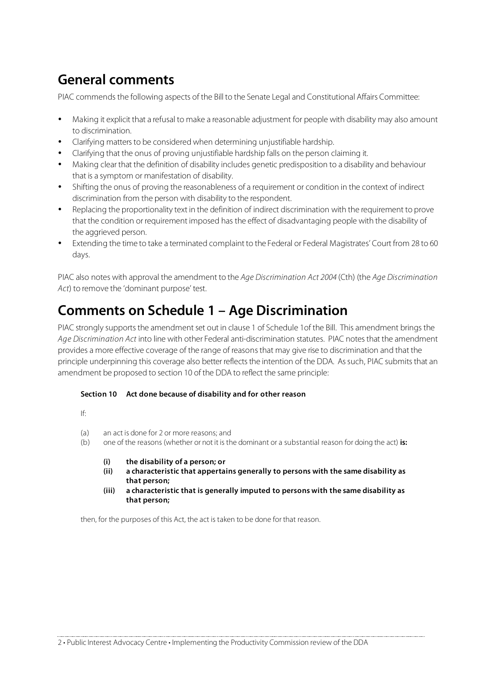# **General comments**

PIAC commends the following aspects of the Bill to the Senate Legal and Constitutional Affairs Committee:

- Making it explicit that a refusal to make a reasonable adjustment for people with disability may also amount to discrimination.
- Clarifying matters to be considered when determining unjustifiable hardship.
- Clarifying that the onus of proving unjustifiable hardship falls on the person claiming it.
- Making clear that the definition of disability includes genetic predisposition to a disability and behaviour that is a symptom or manifestation of disability.
- Shifting the onus of proving the reasonableness of a requirement or condition in the context of indirect discrimination from the person with disability to the respondent.
- Replacing the proportionality text in the definition of indirect discrimination with the requirement to prove that the condition or requirement imposed has the effect of disadvantaging people with the disability of the aggrieved person.
- Extending the time to take a terminated complaint to the Federal or Federal Magistrates' Court from 28 to 60 days.

PIAC also notes with approval the amendment to the Age Discrimination Act 2004 (Cth) (the Age Discrimination Act) to remove the 'dominant purpose' test.

## **Comments on Schedule 1 – Age Discrimination**

PIAC strongly supports the amendment set out in clause 1 of Schedule 1 of the Bill. This amendment brings the Age Discrimination Act into line with other Federal anti-discrimination statutes. PIAC notes that the amendment provides a more effective coverage of the range of reasonsthat may give rise to discrimination and that the principle underpinning this coverage also better reflects the intention of the DDA. As such, PIAC submits that an amendment be proposed to section 10 of the DDA to reflect the same principle:

#### **Section 10 Act done because of disability and for other reason**

- If:
- (a) an act is done for 2 or more reasons; and
- (b) one of the reasons (whether or not it is the dominant or a substantial reason for doing the act) **is:**
	- **(i) the disability of a person; or**
	- **(ii) a characteristic that appertains generally to persons with the same disability as that person;**
	- **(iii) a characteristic that is generally imputed to persons with the same disability as that person;**

then, for the purposes of this Act, the act is taken to be done for that reason.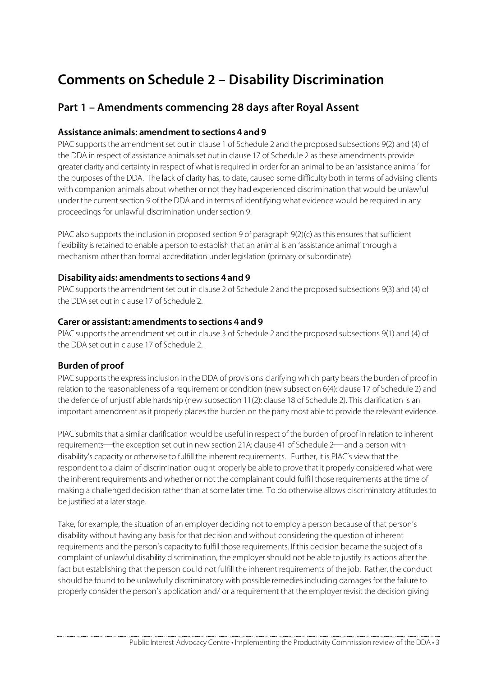# **Comments on Schedule 2 – Disability Discrimination**

### **Part 1 – Amendments commencing 28 days after Royal Assent**

#### **Assistance animals: amendmentto sections 4 and 9**

PIAC supports the amendment set out in clause 1 of Schedule 2 and the proposed subsections 9(2) and (4) of the DDA in respect of assistance animals set out in clause 17 of Schedule 2 as these amendments provide greater clarity and certainty in respect of what isrequired in order for an animal to be an 'assistance animal' for the purposes of the DDA. The lack of clarity has, to date, caused some difficulty both in terms of advising clients with companion animals about whether or not they had experienced discrimination that would be unlawful under the current section 9 of the DDA and in terms of identifying what evidence would be required in any proceedings for unlawful discrimination undersection 9.

PIAC also supports the inclusion in proposed section 9 of paragraph 9(2)(c) as this ensures that sufficient flexibility is retained to enable a person to establish that an animal is an 'assistance animal' through a mechanism other than formal accreditation under legislation (primary or subordinate).

#### **Disability aids: amendments to sections 4 and 9**

PIAC supports the amendment set out in clause 2 of Schedule 2 and the proposed subsections 9(3) and (4) of the DDA set out in clause 17 of Schedule 2.

#### **Carer or assistant: amendments to sections 4 and 9**

PIAC supports the amendment set out in clause 3 of Schedule 2 and the proposed subsections 9(1) and (4) of the DDA set out in clause 17 of Schedule 2.

#### **Burden of proof**

PIAC supports the express inclusion in the DDA of provisions clarifying which party bears the burden of proof in relation to the reasonableness of a requirement or condition (new subsection 6(4): clause 17 of Schedule 2) and the defence of unjustifiable hardship (new subsection 11(2): clause 18 of Schedule 2). This clarification is an important amendment as it properly places the burden on the party most able to provide the relevant evidence.

PIAC submits that a similar clarification would be useful in respect of the burden of proof in relation to inherent requirements—the exception set out in new section 21A: clause 41 of Schedule 2—and a person with disability's capacity or otherwise to fulfill the inherent requirements. Further, it is PIAC's view that the respondent to a claim of discrimination ought properly be able to prove that it properly considered what were the inherent requirements and whether or not the complainant could fulfill those requirements at the time of making a challenged decision rather than at some later time. To do otherwise allows discriminatory attitudes to be justified at a later stage.

Take, for example, the situation of an employer deciding not to employ a person because of that person's disability without having any basis for that decision and without considering the question of inherent requirements and the person's capacity to fulfill those requirements. If this decision became the subject of a complaint of unlawful disability discrimination, the employershould not be able to justify its actions after the fact but establishing that the person could not fulfill the inherent requirements of the job. Rather, the conduct should be found to be unlawfully discriminatory with possible remedies including damages for the failure to properly consider the person's application and/ or a requirement that the employer revisit the decision giving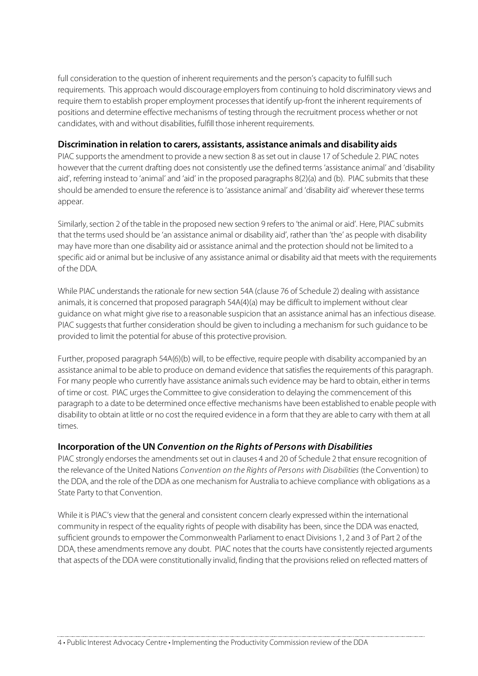full consideration to the question of inherent requirements and the person's capacity to fulfill such requirements. This approach would discourage employers from continuing to hold discriminatory views and require them to establish proper employment processes that identify up-front the inherent requirements of positions and determine effective mechanisms of testing through the recruitment process whether or not candidates, with and without disabilities, fulfill those inherent requirements.

#### **Discrimination in relation to carers, assistants, assistance animals and disability aids**

PIAC supports the amendment to provide a new section 8 as set out in clause 17 of Schedule 2. PIAC notes however that the current drafting does not consistently use the defined terms 'assistance animal' and 'disability aid', referring instead to 'animal' and 'aid' in the proposed paragraphs 8(2)(a) and (b). PIAC submits that these should be amended to ensure the reference isto 'assistance animal' and 'disability aid' wherever these terms appear.

Similarly, section 2 of the table in the proposed new section 9 refers to 'the animal or aid'. Here, PIAC submits that the terms used should be 'an assistance animal or disability aid', rather than 'the' as people with disability may have more than one disability aid or assistance animal and the protection should not be limited to a specific aid or animal but be inclusive of any assistance animal or disability aid that meets with the requirements of the DDA.

While PIAC understands the rationale for new section 54A (clause 76 of Schedule 2) dealing with assistance animals, it is concerned that proposed paragraph 54A(4)(a) may be difficult to implement without clear guidance on what might give rise to a reasonable suspicion that an assistance animal has an infectious disease. PIAC suggests that further consideration should be given to including a mechanism for such guidance to be provided to limit the potential for abuse of this protective provision.

Further, proposed paragraph 54A(6)(b) will, to be effective, require people with disability accompanied by an assistance animal to be able to produce on demand evidence that satisfies the requirements of this paragraph. For many people who currently have assistance animals such evidence may be hard to obtain, either in terms of time or cost. PIAC urgesthe Committee to give consideration to delaying the commencement of this paragraph to a date to be determined once effective mechanisms have been established to enable people with disability to obtain at little or no cost the required evidence in a form that they are able to carry with them at all times.

#### **Incorporation of the UN Convention on the Rights of Persons with Disabilities**

PIAC strongly endorses the amendments set out in clauses 4 and 20 of Schedule 2 that ensure recognition of the relevance of the United Nations Convention on the Rights of Persons with Disabilities (the Convention) to the DDA, and the role of the DDA as one mechanism for Australia to achieve compliance with obligations as a State Party to that Convention.

While it is PIAC's view that the general and consistent concern clearly expressed within the international community in respect of the equality rights of people with disability has been, since the DDA was enacted, sufficient grounds to empower the Commonwealth Parliament to enact Divisions 1, 2 and 3 of Part 2 of the DDA, these amendments remove any doubt. PIAC notes that the courts have consistently rejected arguments that aspects of the DDA were constitutionally invalid, finding that the provisions relied on reflected matters of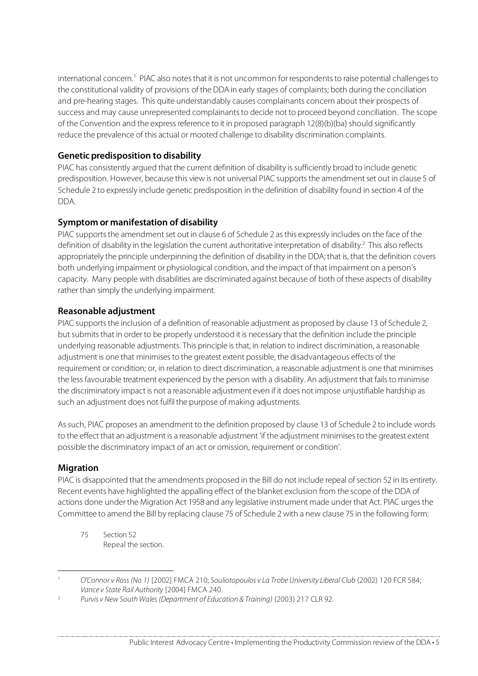international concern.<sup>1</sup> PIAC also notes that it is not uncommon for respondents to raise potential challenges to the constitutional validity of provisions of the DDA in early stages of complaints; both during the conciliation and pre-hearing stages. This quite understandably causes complainants concern about their prospects of success and may cause unrepresented complainants to decide not to proceed beyond conciliation. The scope of the Convention and the expressreference to it in proposed paragraph 12(8)(b)(ba) should significantly reduce the prevalence of this actual or mooted challenge to disability discrimination complaints.

#### **Genetic predisposition to disability**

PIAC has consistently argued that the current definition of disability is sufficiently broad to include genetic predisposition. However, because this view is not universal PIAC supports the amendment set out in clause 5 of Schedule 2 to expressly include genetic predisposition in the definition of disability found in section 4 of the DDA.

#### **Symptom or manifestation of disability**

PIAC supports the amendment set out in clause 6 of Schedule 2 as this expressly includes on the face of the definition of disability in the legislation the current authoritative interpretation of disability. <sup>2</sup> This also reflects appropriately the principle underpinning the definition of disability in the DDA; that is, that the definition covers both underlying impairment or physiological condition, and the impact of that impairment on a person's capacity. Many people with disabilities are discriminated against because of both of these aspects of disability rather than simply the underlying impairment.

#### **Reasonable adjustment**

PIAC supports the inclusion of a definition of reasonable adjustment as proposed by clause 13 of Schedule 2, but submits that in order to be properly understood it is necessary that the definition include the principle underlying reasonable adjustments. This principle isthat, in relation to indirect discrimination, a reasonable adjustment is one that minimises to the greatest extent possible, the disadvantageous effects of the requirement or condition; or, in relation to direct discrimination, a reasonable adjustment is one that minimises the less favourable treatment experienced by the person with a disability. An adjustment that fails to minimise the discriminatory impact is not a reasonable adjustment even if it does not impose unjustifiable hardship as such an adjustment does not fulfil the purpose of making adjustments.

Assuch, PIAC proposes an amendment to the definition proposed by clause 13 of Schedule 2 to include words to the effect that an adjustment is a reasonable adjustment 'if the adjustment minimisesto the greatest extent possible the discriminatory impact of an act or omission, requirement or condition'.

#### **Migration**

PIAC is disappointed that the amendments proposed in the Bill do not include repeal of section 52 in its entirety. Recent events have highlighted the appalling effect of the blanket exclusion from the scope of the DDA of actions done under the Migration Act 1958 and any legislative instrument made under that Act. PIAC urges the Committee to amend the Bill by replacing clause 75 of Schedule 2 with a new clause 75 in the following form:

75 Section 52 Repeal the section.

 <sup>1</sup> O'Connor <sup>v</sup> Ross (No 1) [2002] FMCA 210; Souliotopoulos <sup>v</sup> La Trobe University Liberal Club (2002) 120 FCR 584; Vance v State Rail Authority [2004] FMCA 240.

<sup>2</sup> Purvis v New South Wales (Department of Education & Training) (2003) 217 CLR 92.